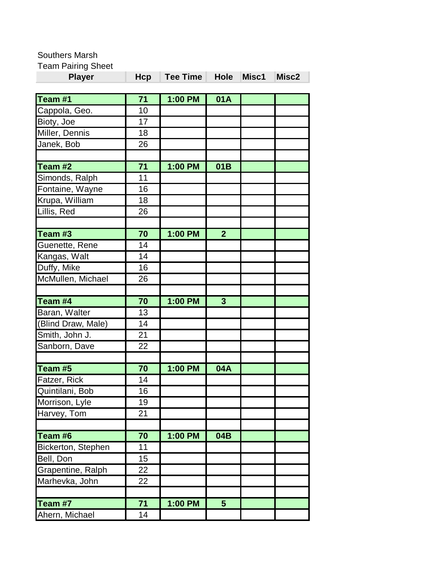Southers Marsh

Team Pairing Sheet

| <b>Player</b>      | Hcp | Tee Time | <b>Hole</b>    | Misc1 | Misc2 |
|--------------------|-----|----------|----------------|-------|-------|
| Team #1            | 71  | 1:00 PM  | 01A            |       |       |
| Cappola, Geo.      | 10  |          |                |       |       |
| Bioty, Joe         | 17  |          |                |       |       |
| Miller, Dennis     | 18  |          |                |       |       |
| Janek, Bob         | 26  |          |                |       |       |
|                    |     |          |                |       |       |
| Team #2            | 71  | 1:00 PM  | 01B            |       |       |
| Simonds, Ralph     | 11  |          |                |       |       |
| Fontaine, Wayne    | 16  |          |                |       |       |
| Krupa, William     | 18  |          |                |       |       |
| Lillis, Red        | 26  |          |                |       |       |
|                    |     |          |                |       |       |
| Team #3            | 70  | 1:00 PM  | $\overline{2}$ |       |       |
| Guenette, Rene     | 14  |          |                |       |       |
| Kangas, Walt       | 14  |          |                |       |       |
| Duffy, Mike        | 16  |          |                |       |       |
| McMullen, Michael  | 26  |          |                |       |       |
|                    |     |          |                |       |       |
| Team #4            | 70  | 1:00 PM  | $\overline{3}$ |       |       |
| Baran, Walter      | 13  |          |                |       |       |
| (Blind Draw, Male) | 14  |          |                |       |       |
| Smith, John J.     | 21  |          |                |       |       |
| Sanborn, Dave      | 22  |          |                |       |       |
|                    |     |          |                |       |       |
| Team #5            | 70  | 1:00 PM  | <b>04A</b>     |       |       |
| Fatzer, Rick       | 14  |          |                |       |       |
| Quintilani, Bob    | 16  |          |                |       |       |
| Morrison, Lyle     | 19  |          |                |       |       |
| Harvey, Tom        | 21  |          |                |       |       |
|                    |     |          |                |       |       |
| Team #6            | 70  | 1:00 PM  | 04B            |       |       |
| Bickerton, Stephen | 11  |          |                |       |       |
| Bell, Don          | 15  |          |                |       |       |
| Grapentine, Ralph  | 22  |          |                |       |       |
| Marhevka, John     | 22  |          |                |       |       |
|                    |     |          |                |       |       |
| Team #7            | 71  | 1:00 PM  | $5\phantom{1}$ |       |       |
| Ahern, Michael     | 14  |          |                |       |       |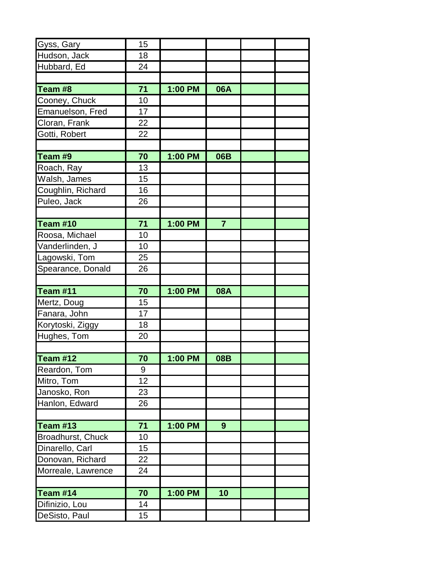| Gyss, Gary         | 15 |         |                |  |
|--------------------|----|---------|----------------|--|
| Hudson, Jack       | 18 |         |                |  |
| Hubbard, Ed        | 24 |         |                |  |
|                    |    |         |                |  |
| Team #8            | 71 | 1:00 PM | 06A            |  |
| Cooney, Chuck      | 10 |         |                |  |
| Emanuelson, Fred   | 17 |         |                |  |
| Cloran, Frank      | 22 |         |                |  |
| Gotti, Robert      | 22 |         |                |  |
|                    |    |         |                |  |
| Team #9            | 70 | 1:00 PM | 06B            |  |
| Roach, Ray         | 13 |         |                |  |
| Walsh, James       | 15 |         |                |  |
| Coughlin, Richard  | 16 |         |                |  |
| Puleo, Jack        | 26 |         |                |  |
|                    |    |         |                |  |
| <b>Team #10</b>    | 71 | 1:00 PM | $\overline{7}$ |  |
| Roosa, Michael     | 10 |         |                |  |
| Vanderlinden, J    | 10 |         |                |  |
| Lagowski, Tom      | 25 |         |                |  |
| Spearance, Donald  | 26 |         |                |  |
|                    |    |         |                |  |
| <b>Team #11</b>    | 70 | 1:00 PM | 08A            |  |
| Mertz, Doug        | 15 |         |                |  |
| Fanara, John       | 17 |         |                |  |
| Korytoski, Ziggy   | 18 |         |                |  |
| Hughes, Tom        | 20 |         |                |  |
|                    |    |         |                |  |
| Team #12           | 70 | 1:00 PM | 08B            |  |
| Reardon, Tom       | 9  |         |                |  |
| Mitro, Tom         | 12 |         |                |  |
| Janosko, Ron       | 23 |         |                |  |
| Hanlon, Edward     | 26 |         |                |  |
|                    |    |         |                |  |
| <b>Team #13</b>    | 71 | 1:00 PM | 9              |  |
| Broadhurst, Chuck  | 10 |         |                |  |
| Dinarello, Carl    | 15 |         |                |  |
| Donovan, Richard   | 22 |         |                |  |
| Morreale, Lawrence | 24 |         |                |  |
|                    |    |         |                |  |
| Team #14           | 70 | 1:00 PM | 10             |  |
| Difinizio, Lou     | 14 |         |                |  |
| DeSisto, Paul      | 15 |         |                |  |